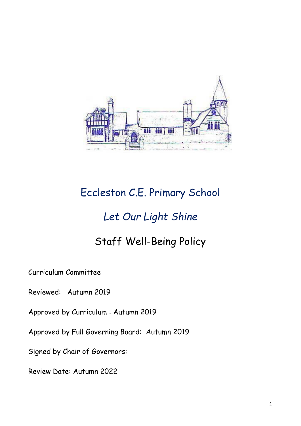

# Eccleston C.E. Primary School

## *Let Our Light Shine*

## Staff Well-Being Policy

Curriculum Committee

Reviewed: Autumn 2019

Approved by Curriculum : Autumn 2019

Approved by Full Governing Board: Autumn 2019

Signed by Chair of Governors:

Review Date: Autumn 2022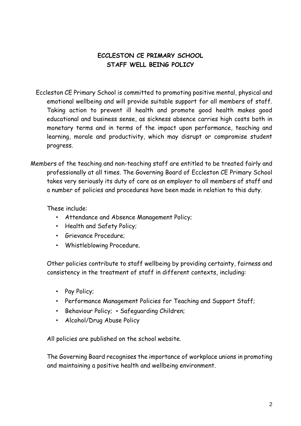## **ECCLESTON CE PRIMARY SCHOOL STAFF WELL BEING POLICY**

- Eccleston CE Primary School is committed to promoting positive mental, physical and emotional wellbeing and will provide suitable support for all members of staff. Taking action to prevent ill health and promote good health makes good educational and business sense, as sickness absence carries high costs both in monetary terms and in terms of the impact upon performance, teaching and learning, morale and productivity, which may disrupt or compromise student progress.
- Members of the teaching and non-teaching staff are entitled to be treated fairly and professionally at all times. The Governing Board of Eccleston CE Primary School takes very seriously its duty of care as an employer to all members of staff and a number of policies and procedures have been made in relation to this duty.

These include:

- Attendance and Absence Management Policy;
- Health and Safety Policy;
- Grievance Procedure;
- Whistleblowing Procedure.

Other policies contribute to staff wellbeing by providing certainty, fairness and consistency in the treatment of staff in different contexts, including:

- Pay Policy;
- Performance Management Policies for Teaching and Support Staff;
- Behaviour Policy; Safeguarding Children;
- Alcohol/Drug Abuse Policy

All policies are published on the school website.

The Governing Board recognises the importance of workplace unions in promoting and maintaining a positive health and wellbeing environment.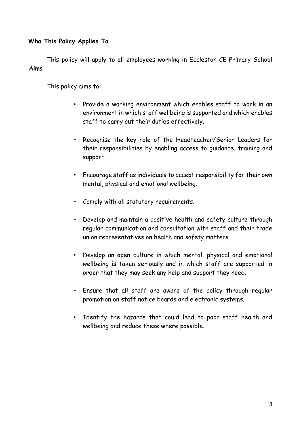#### **Who This Policy Applies To**

This policy will apply to all employees working in Eccleston CE Primary School **Aims** 

This policy aims to:

- Provide a working environment which enables staff to work in an environment in which staff wellbeing is supported and which enables staff to carry out their duties effectively.
- Recognise the key role of the Headteacher/Senior Leaders for their responsibilities by enabling access to guidance, training and support.
- Encourage staff as individuals to accept responsibility for their own mental, physical and emotional wellbeing.
- Comply with all statutory requirements.
- Develop and maintain a positive health and safety culture through regular communication and consultation with staff and their trade union representatives on health and safety matters.
- Develop an open culture in which mental, physical and emotional wellbeing is taken seriously and in which staff are supported in order that they may seek any help and support they need.
- Ensure that all staff are aware of the policy through regular promotion on staff notice boards and electronic systems.
- Identify the hazards that could lead to poor staff health and wellbeing and reduce these where possible.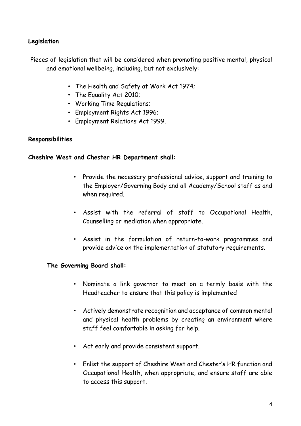### **Legislation**

Pieces of legislation that will be considered when promoting positive mental, physical and emotional wellbeing, including, but not exclusively:

- The Health and Safety at Work Act 1974;
- The Equality Act 2010;
- Working Time Regulations;
- Employment Rights Act 1996;
- Employment Relations Act 1999.

#### **Responsibilities**

#### **Cheshire West and Chester HR Department shall:**

- Provide the necessary professional advice, support and training to the Employer/Governing Body and all Academy/School staff as and when required.
- Assist with the referral of staff to Occupational Health, Counselling or mediation when appropriate.
- Assist in the formulation of return-to-work programmes and provide advice on the implementation of statutory requirements.

#### **The Governing Board shall:**

- Nominate a link governor to meet on a termly basis with the Headteacher to ensure that this policy is implemented
- Actively demonstrate recognition and acceptance of common mental and physical health problems by creating an environment where staff feel comfortable in asking for help.
- Act early and provide consistent support.
- Enlist the support of Cheshire West and Chester's HR function and Occupational Health, when appropriate, and ensure staff are able to access this support.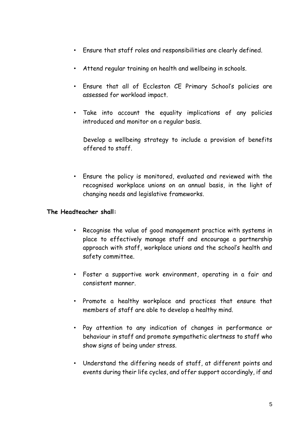- Ensure that staff roles and responsibilities are clearly defined.
- Attend regular training on health and wellbeing in schools.
- Ensure that all of Eccleston CE Primary School's policies are assessed for workload impact.
- Take into account the equality implications of any policies introduced and monitor on a regular basis.

Develop a wellbeing strategy to include a provision of benefits offered to staff.

• Ensure the policy is monitored, evaluated and reviewed with the recognised workplace unions on an annual basis, in the light of changing needs and legislative frameworks.

#### **The Headteacher shall:**

- Recognise the value of good management practice with systems in place to effectively manage staff and encourage a partnership approach with staff, workplace unions and the school's health and safety committee.
- Foster a supportive work environment, operating in a fair and consistent manner.
- Promote a healthy workplace and practices that ensure that members of staff are able to develop a healthy mind.
- Pay attention to any indication of changes in performance or behaviour in staff and promote sympathetic alertness to staff who show signs of being under stress.
- Understand the differing needs of staff, at different points and events during their life cycles, and offer support accordingly, if and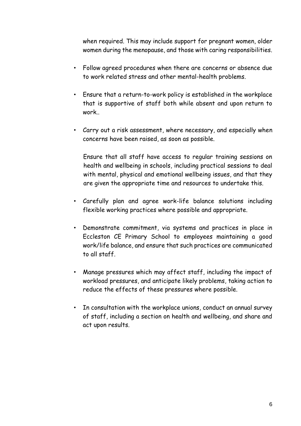when required. This may include support for pregnant women, older women during the menopause, and those with caring responsibilities.

- Follow agreed procedures when there are concerns or absence due to work related stress and other mental-health problems.
- Ensure that a return-to-work policy is established in the workplace that is supportive of staff both while absent and upon return to work..
- Carry out a risk assessment, where necessary, and especially when concerns have been raised, as soon as possible.

Ensure that all staff have access to regular training sessions on health and wellbeing in schools, including practical sessions to deal with mental, physical and emotional wellbeing issues, and that they are given the appropriate time and resources to undertake this.

- Carefully plan and agree work-life balance solutions including flexible working practices where possible and appropriate.
- Demonstrate commitment, via systems and practices in place in Eccleston CE Primary School to employees maintaining a good work/life balance, and ensure that such practices are communicated to all staff.
- Manage pressures which may affect staff, including the impact of workload pressures, and anticipate likely problems, taking action to reduce the effects of these pressures where possible.
- In consultation with the workplace unions, conduct an annual survey of staff, including a section on health and wellbeing, and share and act upon results.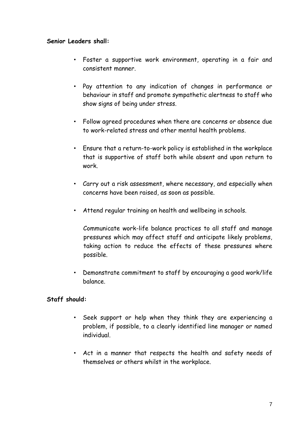#### **Senior Leaders shall:**

- Foster a supportive work environment, operating in a fair and consistent manner.
- Pay attention to any indication of changes in performance or behaviour in staff and promote sympathetic alertness to staff who show signs of being under stress.
- Follow agreed procedures when there are concerns or absence due to work-related stress and other mental health problems.
- Ensure that a return-to-work policy is established in the workplace that is supportive of staff both while absent and upon return to work.
- Carry out a risk assessment, where necessary, and especially when concerns have been raised, as soon as possible.
- Attend regular training on health and wellbeing in schools.

Communicate work-life balance practices to all staff and manage pressures which may affect staff and anticipate likely problems, taking action to reduce the effects of these pressures where possible.

• Demonstrate commitment to staff by encouraging a good work/life balance.

## **Staff should:**

- Seek support or help when they think they are experiencing a problem, if possible, to a clearly identified line manager or named individual.
- Act in a manner that respects the health and safety needs of themselves or others whilst in the workplace.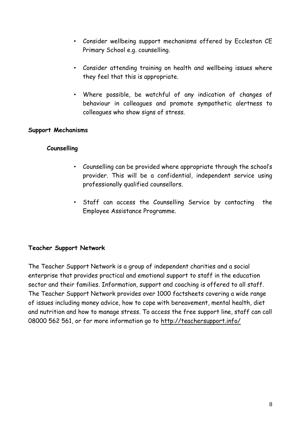- Consider wellbeing support mechanisms offered by Eccleston CE Primary School e.g. counselling.
- Consider attending training on health and wellbeing issues where they feel that this is appropriate.
- Where possible, be watchful of any indication of changes of behaviour in colleagues and promote sympathetic alertness to colleagues who show signs of stress.

#### **Support Mechanisms**

#### **Counselling**

- Counselling can be provided where appropriate through the school's provider. This will be a confidential, independent service using professionally qualified counsellors.
- Staff can access the Counselling Service by contacting the Employee Assistance Programme.

#### **Teacher Support Network**

The Teacher Support Network is a group of independent charities and a social enterprise that provides practical and emotional support to staff in the education sector and their families. Information, support and coaching is offered to all staff. The Teacher Support Network provides over 1000 factsheets covering a wide range of issues including money advice, how to cope with bereavement, mental health, diet and nutrition and how to manage stress. To access the free support line, staff can call 08000 562 561, or for more information go to http://teachersupport.info/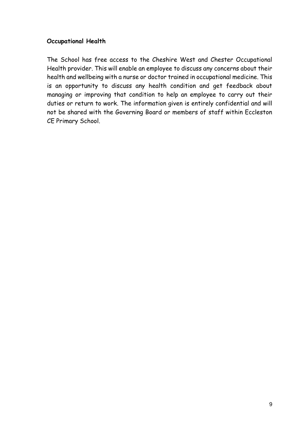### **Occupational Health**

The School has free access to the Cheshire West and Chester Occupational Health provider. This will enable an employee to discuss any concerns about their health and wellbeing with a nurse or doctor trained in occupational medicine. This is an opportunity to discuss any health condition and get feedback about managing or improving that condition to help an employee to carry out their duties or return to work. The information given is entirely confidential and will not be shared with the Governing Board or members of staff within Eccleston CE Primary School.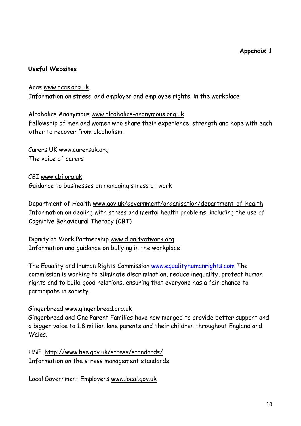### **Useful Websites**

## Acas [www.acas.org.uk](http://www.acas.org.uk/)  Information on stress, and employer and employee rights, in the workplace

## Alcoholics Anonymous [www.alcoholics-anonymous.org.uk](http://www.alcoholics-anonymous.org.uk/)  Fellowship of men and women who share their experience, strength and hope with each other to recover from alcoholism.

Carers UK [www.carersuk.org](http://www.carersuk.org/) The voice of carers

CBI [www.cbi.org.uk](http://www.cbi.org.uk/) Guidance to businesses on managing stress at work

Department of Health [www.gov.uk/government/organisation/department-of-health](http://www.gov.uk/government/organisation/department-of-health)  Information on dealing with stress and mental health problems, including the use of Cognitive Behavioural Therapy (CBT)

Dignity at Work Partnership [www.dignityatwork.org](http://www.dignityatwork.org/)  Information and guidance on bullying in the workplace

The Equality and Human Rights Commission [www.equalityhumanrights.com](http://www.equalityhumanrights.com/) The commission is working to eliminate discrimination, reduce inequality, protect human rights and to build good relations, ensuring that everyone has a fair chance to participate in society.

#### Gingerbread [www.gingerbread.org.uk](http://www.gingerbread.org.uk/)

Gingerbread and One Parent Families have now merged to provide better support and a bigger voice to 1.8 million lone parents and their children throughout England and Wales.

HSE <http://www.hse.gov.uk/stress/standards/> Information on the stress management standards

Local Government Employers [www.local.gov.uk](http://www.local.gov.uk/)